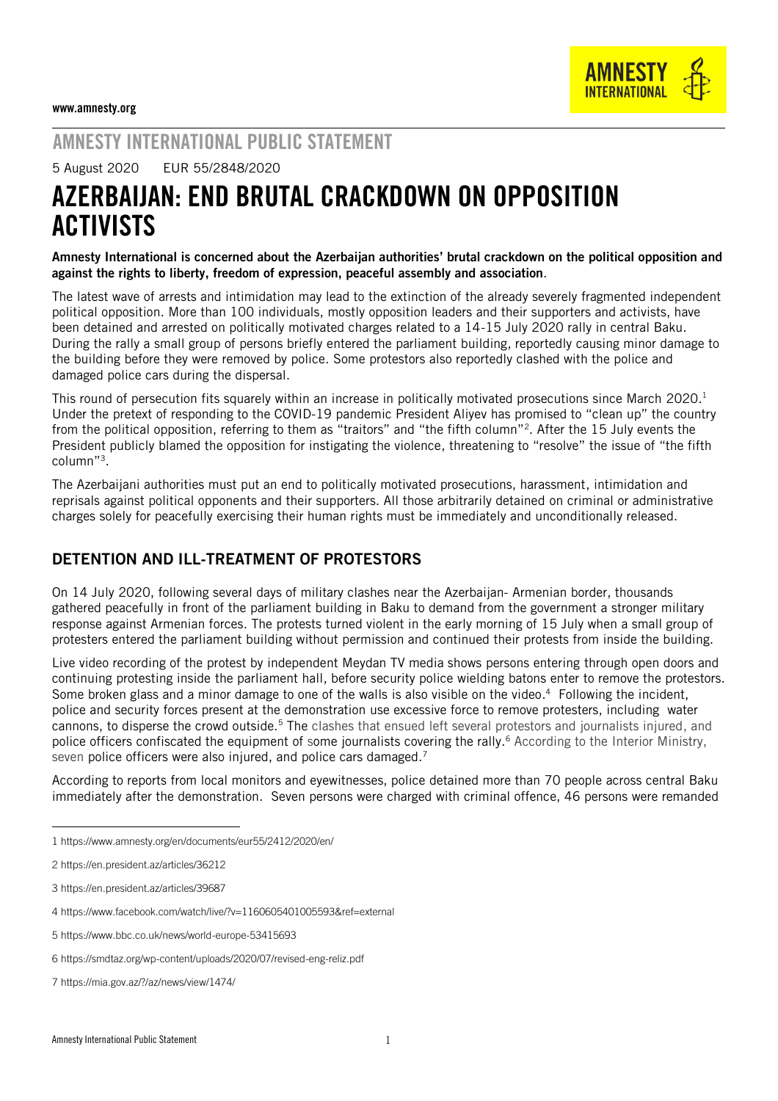

## AMNESTY INTERNATIONAL PUBLIC STATEMENT

5 August 2020 EUR 55/2848/2020

# AZERBAIJAN: END BRUTAL CRACKDOWN ON OPPOSITION **ACTIVISTS**

Amnesty International is concerned about the Azerbaijan authorities' brutal crackdown on the political opposition and against the rights to liberty, freedom of expression, peaceful assembly and association.

The latest wave of arrests and intimidation may lead to the extinction of the already severely fragmented independent political opposition. More than 100 individuals, mostly opposition leaders and their supporters and activists, have been detained and arrested on politically motivated charges related to a 14-15 July 2020 rally in central Baku. During the rally a small group of persons briefly entered the parliament building, reportedly causing minor damage to the building before they were removed by police. Some protestors also reportedly clashed with the police and damaged police cars during the dispersal.

This round of persecution fits squarely within an increase in politically motivated prosecutions since March 2020. 1 Under the pretext of responding to the COVID-19 pandemic President Aliyev has promised to "clean up" the country from the political opposition, referring to them as "traitors" and "the fifth column"<sup>2</sup> . After the 15 July events the President publicly blamed the opposition for instigating the violence, threatening to "resolve" the issue of "the fifth column"<sup>3</sup> .

The Azerbaijani authorities must put an end to politically motivated prosecutions, harassment, intimidation and reprisals against political opponents and their supporters. All those arbitrarily detained on criminal or administrative charges solely for peacefully exercising their human rights must be immediately and unconditionally released.

### DETENTION AND ILL-TREATMENT OF PROTESTORS

On 14 July 2020, following several days of military clashes near the Azerbaijan- Armenian border, thousands gathered peacefully in front of the parliament building in Baku to demand from the government a stronger military response against Armenian forces. The protests turned violent in the early morning of 15 July when a small group of protesters entered the parliament building without permission and continued their protests from inside the building.

Live video recording of the protest by independent Meydan TV media shows persons entering through open doors and continuing protesting inside the parliament hall, before security police wielding batons enter to remove the protestors. Some broken glass and a minor damage to one of the walls is also visible on the video.<sup>4</sup> Following the incident, police and security forces present at the demonstration use excessive force to remove protesters, including water cannons, to disperse the crowd outside.<sup>5</sup> The clashes that ensued left several protestors and journalists injured, and police officers confiscated the equipment of some journalists covering the rally.<sup>6</sup> According to the Interior Ministry, seven police officers were also injured, and police cars damaged.<sup>7</sup>

According to reports from local monitors and eyewitnesses, police detained more than 70 people across central Baku immediately after the demonstration. Seven persons were charged with criminal offence, 46 persons were remanded

-

- 3 <https://en.president.az/articles/39687>
- 4 <https://www.facebook.com/watch/live/?v=1160605401005593&ref=external>
- 5 <https://www.bbc.co.uk/news/world-europe-53415693>
- 6 <https://smdtaz.org/wp-content/uploads/2020/07/revised-eng-reliz.pdf>

<sup>1</sup> <https://www.amnesty.org/en/documents/eur55/2412/2020/en/>

<sup>2</sup> <https://en.president.az/articles/36212>

<sup>7</sup> <https://mia.gov.az/?/az/news/view/1474/>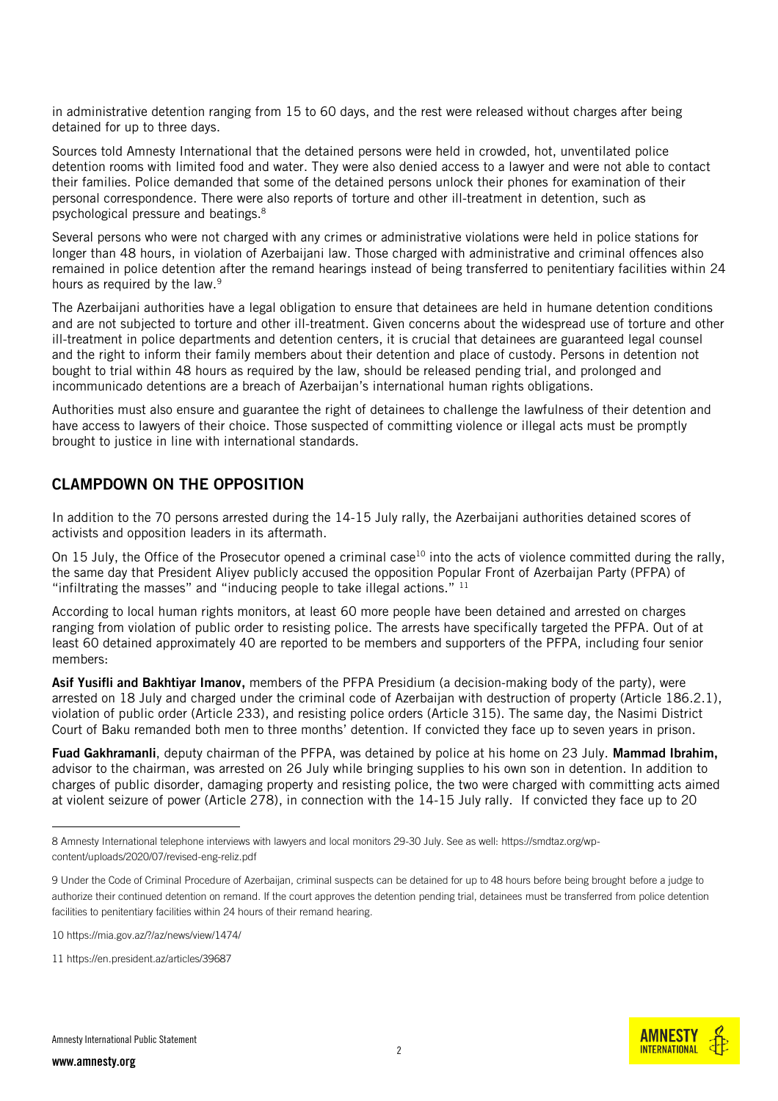in administrative detention ranging from 15 to 60 days, and the rest were released without charges after being detained for up to three days.

Sources told Amnesty International that the detained persons were held in crowded, hot, unventilated police detention rooms with limited food and water. They were also denied access to a lawyer and were not able to contact their families. Police demanded that some of the detained persons unlock their phones for examination of their personal correspondence. There were also reports of torture and other ill-treatment in detention, such as psychological pressure and beatings.<sup>8</sup>

Several persons who were not charged with any crimes or administrative violations were held in police stations for longer than 48 hours, in violation of Azerbaijani law. Those charged with administrative and criminal offences also remained in police detention after the remand hearings instead of being transferred to penitentiary facilities within 24 hours as required by the law.<sup>9</sup>

The Azerbaijani authorities have a legal obligation to ensure that detainees are held in humane detention conditions and are not subjected to torture and other ill-treatment. Given concerns about the widespread use of torture and other ill-treatment in police departments and detention centers, it is crucial that detainees are guaranteed legal counsel and the right to inform their family members about their detention and place of custody. Persons in detention not bought to trial within 48 hours as required by the law, should be released pending trial, and prolonged and incommunicado detentions are a breach of Azerbaijan's international human rights obligations.

Authorities must also ensure and guarantee the right of detainees to challenge the lawfulness of their detention and have access to lawyers of their choice. Those suspected of committing violence or illegal acts must be promptly brought to justice in line with international standards.

#### CLAMPDOWN ON THE OPPOSITION

In addition to the 70 persons arrested during the 14-15 July rally, the Azerbaijani authorities detained scores of activists and opposition leaders in its aftermath.

On 15 July, the Office of the Prosecutor opened a criminal case<sup>10</sup> into the acts of violence committed during the rally, the same day that President Aliyev publicly accused the opposition Popular Front of Azerbaijan Party (PFPA) of "infiltrating the masses" and "inducing people to take illegal actions."  $11$ 

According to local human rights monitors, at least 60 [more people](https://eur02.safelinks.protection.outlook.com/?url=https%3A%2F%2Fgozetci.az%2Fen%2Fupdated-list-of-popular-front-party-members-and-activists-detained-following-the-support-for-karabakh-rally-on-14-july%2F&data=02%7C01%7Cnatalia.nozadze%40amnesty.org%7Cba94e1b7e6db44c0bbf408d833bb58ee%7Cc2dbf829378d44c1b47a1c043924ddf3%7C0%7C0%7C637316227028437820&sdata=1p4%2FHIEKiEBw5kzgVxWI61KaHRHCPy292NFM0bzG0dg%3D&reserved=0) have been detained and arrested on charges ranging from violation of public order to resisting police. The arrests have specifically targeted the PFPA. Out of at least 60 detained approximately 40 are reported to be members and supporters of the PFPA, including four senior members:

Asif Yusifli and Bakhtiyar Imanov, members of the PFPA Presidium (a decision-making body of the party), were arrested on 18 July and charged under the criminal code of Azerbaijan with destruction of property (Article 186.2.1), violation of public order (Article 233), and resisting police orders (Article 315). The same day, the Nasimi District Court of Baku remanded both men to three months' detention. If convicted they face up to seven years in prison.

Fuad Gakhramanli, deputy chairman of the PFPA, was detained by police at his home on 23 July. Mammad Ibrahim, advisor to the chairman, was arrested on 26 July while bringing supplies to his own son in detention. In addition to charges of public disorder, damaging property and resisting police, the two were charged with committing acts aimed at violent seizure of power (Article 278), in connection with the 14-15 July rally. If convicted they face up to 20

-



<sup>8</sup> Amnesty International telephone interviews with lawyers and local monitors 29-30 July. See as well[: https://smdtaz.org/wp](https://smdtaz.org/wp-content/uploads/2020/07/revised-eng-reliz.pdf)[content/uploads/2020/07/revised-eng-reliz.pdf](https://smdtaz.org/wp-content/uploads/2020/07/revised-eng-reliz.pdf)

<sup>9</sup> Under the Code of Criminal Procedure of Azerbaijan, criminal suspects can be detained for up to 48 hours before being brought before a judge to authorize their continued detention on remand. If the court approves the detention pending trial, detainees must be transferred from police detention facilities to penitentiary facilities within 24 hours of their remand hearing.

<sup>10</sup> <https://mia.gov.az/?/az/news/view/1474/>

<sup>11</sup> <https://en.president.az/articles/39687>